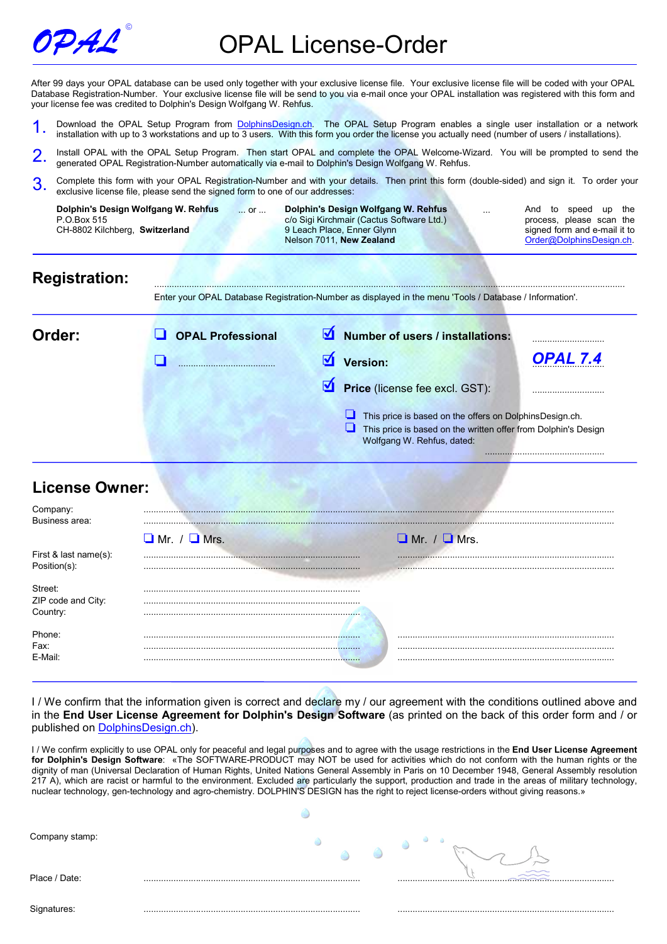

After 99 days your OPAL database can be used only together with your exclusive license file. Your exclusive license file will be coded with your OPAL Database Registration-Number. Your exclusive license file will be send to you via e-mail once your OPAL installation was registered with this form and your license fee was credited to Dolphin's Design Wolfgang W. Rehfus.

- 1. Download the OPAL Setup Program from DolphinsDesign.ch. The OPAL Setup Program enables a single user installation or a network installation with up to 3 workstations and up to 3 users. With this form you order the license you actually need (number of users / installations).
- 2. Install OPAL with the OPAL Setup Program. Then start OPAL and complete the OPAL Welcome-Wizard. You will be prompted to send the generated OPAL Registration-Number automatically via e-mail to Dolphin's Design Wolfgang W. Rehfus.
- 3. Complete this form with your OPAL Registration-Number and with your details. Then print this form (double-sided) and sign it. To order your exclusive license file, please send the signed form to one of our addresses:

| Dolphin's Design Wolfgang W. Rehfus<br>or<br>P.O.Box 515<br>CH-8802 Kilchberg, Switzerland |                          | Dolphin's Design Wolfgang W. Rehfus<br>c/o Sigi Kirchmair (Cactus Software Ltd.)<br>9 Leach Place, Enner Glynn<br>Nelson 7011, New Zealand | And to speed up<br>the<br>process, please scan the<br>signed form and e-mail it to<br>Order@DolphinsDesign.ch. |
|--------------------------------------------------------------------------------------------|--------------------------|--------------------------------------------------------------------------------------------------------------------------------------------|----------------------------------------------------------------------------------------------------------------|
| <b>Registration:</b>                                                                       |                          | Enter your OPAL Database Registration-Number as displayed in the menu 'Tools / Database / Information'.                                    |                                                                                                                |
| Order:                                                                                     | <b>OPAL Professional</b> | ⊻<br><b>Number of users / installations:</b>                                                                                               |                                                                                                                |
|                                                                                            |                          | ₫<br>Version:                                                                                                                              | OPAL 7.4                                                                                                       |
|                                                                                            |                          | ☑<br>Price (license fee excl. GST):                                                                                                        |                                                                                                                |
|                                                                                            |                          | This price is based on the offers on DolphinsDesign.ch.<br>⊔<br>Wolfgang W. Rehfus, dated:                                                 | This price is based on the written offer from Dolphin's Design                                                 |
| <b>License Owner:</b>                                                                      |                          |                                                                                                                                            |                                                                                                                |
| Company:<br>Business area:                                                                 |                          |                                                                                                                                            |                                                                                                                |
|                                                                                            | $\Box$ Mr. / $\Box$ Mrs. | $\Box$ Mr. / $\Box$ Mrs.                                                                                                                   |                                                                                                                |
| First & last name(s):<br>Position(s):                                                      |                          |                                                                                                                                            |                                                                                                                |
| Street:<br>ZIP code and City:<br>Country:                                                  |                          |                                                                                                                                            |                                                                                                                |
| Phone:<br>Fax:<br>E-Mail:                                                                  |                          |                                                                                                                                            |                                                                                                                |

I / We confirm that the information given is correct and declare my / our agreement with the conditions outlined above and in the End User License Agreement for Dolphin's Design Software (as printed on the back of this order form and / or published on DolphinsDesign.ch).

I / We confirm explicitly to use OPAL only for peaceful and legal purposes and to agree with the usage restrictions in the End User License Agreement for Dolphin's Design Software: «The SOFTWARE-PRODUCT may NOT be used for activities which do not conform with the human rights or the dignity of man (Universal Declaration of Human Rights, United Nations General Assembly in Paris on 10 December 1948, General Assembly resolution 217 A), which are racist or harmful to the environment. Excluded are particularly the support, production and trade in the areas of military technology, nuclear technology, gen-technology and agro-chemistry. DOLPHIN'S DESIGN has the right to reject license-orders without giving reasons.»

| Company stamp: |  |
|----------------|--|
| Place / Date:  |  |
| Signatures:    |  |